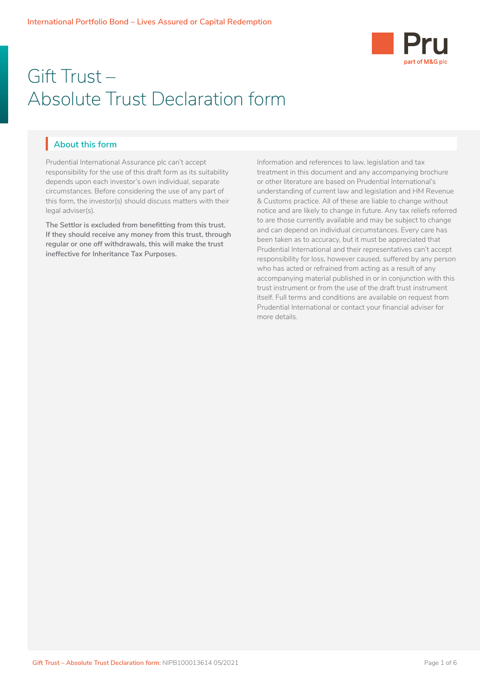

# Gift Trust – Absolute Trust Declaration form

# **About this form** I

Prudential International Assurance plc can't accept responsibility for the use of this draft form as its suitability depends upon each investor's own individual, separate circumstances. Before considering the use of any part of this form, the investor(s) should discuss matters with their legal adviser(s).

**The Settlor is excluded from benefitting from this trust. If they should receive any money from this trust, through regular or one off withdrawals, this will make the trust ineffective for Inheritance Tax Purposes.**

Information and references to law, legislation and tax treatment in this document and any accompanying brochure or other literature are based on Prudential International's understanding of current law and legislation and HM Revenue & Customs practice. All of these are liable to change without notice and are likely to change in future. Any tax reliefs referred to are those currently available and may be subject to change and can depend on individual circumstances. Every care has been taken as to accuracy, but it must be appreciated that Prudential International and their representatives can't accept responsibility for loss, however caused, suffered by any person who has acted or refrained from acting as a result of any accompanying material published in or in conjunction with this trust instrument or from the use of the draft trust instrument itself. Full terms and conditions are available on request from Prudential International or contact your financial adviser for more details.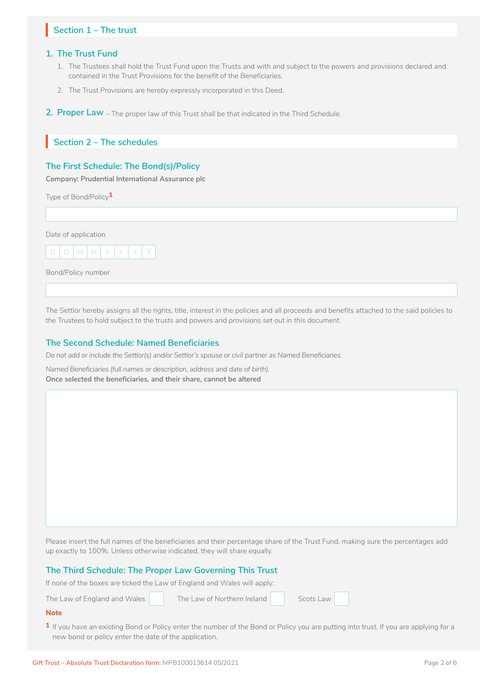# Section 1 – The trust

### **1. The Trust Fund**

- 1. The Trustees shall hold the Trust Fund upon the Trusts and with and subject to the powers and provisions declared and contained in the Trust Provisions for the benefit of the Beneficiaries.
- 2. The Trust Provisions are hereby expressly incorporated in this Deed.
- **2. Proper Law**  The proper law of this Trust shall be that indicated in the Third Schedule.

# **Section 2 – The schedules** I

## **The First Schedule: The Bond(s)/Policy**

**Company: Prudential International Assurance plc** 

Type of Bond/Policy**1**

Date of application



Bond/Policy number

The Settlor hereby assigns all the rights, title, interest in the policies and all proceeds and benefits attached to the said policies to the Trustees to hold subject to the trusts and powers and provisions set out in this document.

### **The Second Schedule: Named Beneficiaries**

*Do not add or include the Settlor(s) and/or Settlor's spouse or civil partner as Named Beneficiaries.* 

*Named Beneficiaries (full names or description, address and date of birth).*  **Once selected the beneficiaries, and their share, cannot be altered**

Please insert the full names of the beneficiaries and their percentage share of the Trust Fund, making sure the percentages add up exactly to 100%. Unless otherwise indicated, they will share equally.

#### **The Third Schedule: The Proper Law Governing This Trust**

If none of the boxes are ticked the Law of England and Wales will apply:

The Law of England and Wales The Law of Northern Ireland Scots Law

 $\Box$  :

#### **Note**

**1** If you have an existing Bond or Policy enter the number of the Bond or Policy you are putting into trust. If you are applying for a new bond or policy enter the date of the application.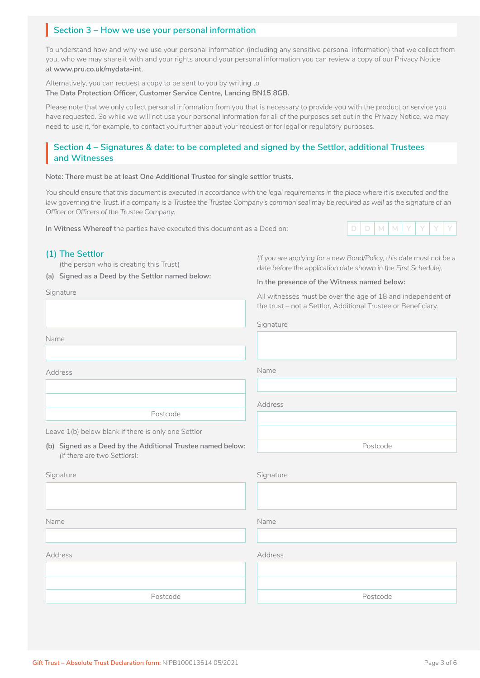# **Section 3 – How we use your personal information** I

To understand how and why we use your personal information (including any sensitive personal information) that we collect from you, who we may share it with and your rights around your personal information you can review a copy of our Privacy Notice at **www.pru.co.uk/mydata-int**.

Alternatively, you can request a copy to be sent to you by writing to **The Data Protection Officer, Customer Service Centre, Lancing BN15 8GB.** 

Please note that we only collect personal information from you that is necessary to provide you with the product or service you have requested. So while we will not use your personal information for all of the purposes set out in the Privacy Notice, we may need to use it, for example, to contact you further about your request or for legal or regulatory purposes.

# Section 4 – Signatures & date: to be completed and signed by the Settlor, additional Trustees<br>| and Witnesses<br>| **and Witnesses**

#### **Note: There must be at least One Additional Trustee for single settlor trusts.**

You should ensure that this document is executed in accordance with the legal requirements in the place where it is executed and the law governing the Trust. If a company is a Trustee the Trustee Company's common seal may be required as well as the signature of an *Officer or Officers of the Trustee Company.*

**In Witness Whereof** the parties have executed this document as a Deed on: **D** D D

### **(1) The Settlor**

(the person who is creating this Trust)

**(a) Signed as a Deed by the Settlor named below:**

Signature

*(If you are applying for a new Bond/Policy, this date must not be a date before the application date shown in the First Schedule).*

#### **In the presence of the Witness named below:**

All witnesses must be over the age of 18 and independent of the trust – not a Settlor, Additional Trustee or Beneficiary.

Postcode

Name

Address

Postcode

Leave 1(b) below blank if there is only one Settlor

**(b) Signed as a Deed by the Additional Trustee named below:**  *(if there are two Settlors):*

| Signature | Signature |
|-----------|-----------|
|           |           |
|           |           |
| Name      | Name      |
|           |           |
| Address   | Address   |
|           |           |
|           |           |
| Postcode  | Postcode  |
|           |           |

Address

Name

Signature



Gift Trust – Absolute Trust Declaration form: NIPB100013614 05/2021 **Page 3 of 6** Page 3 of 6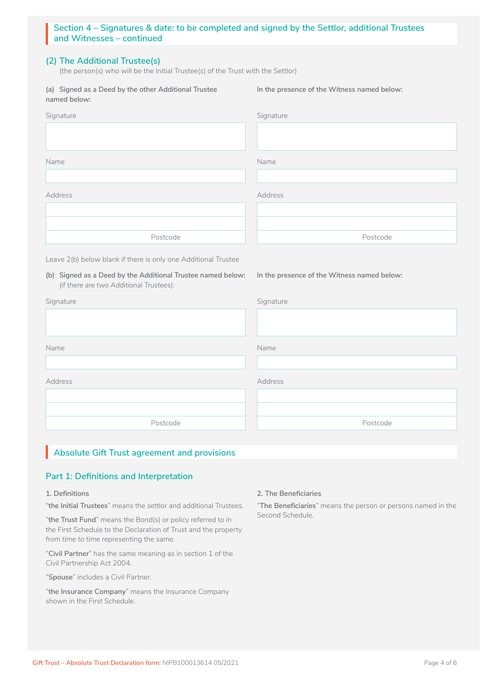# **(2) The Additional Trustee(s)**

(the person(s) who will be the Initial Trustee(s) of the Trust with the Settlor)

**(a) Signed as a Deed by the other Additional Trustee named below:**

**In the presence of the Witness named below:**

**In the presence of the Witness named below:**

| Signature | Signature |
|-----------|-----------|
|           |           |
| Name      | Name      |
|           |           |
| Address   | Address   |
|           |           |
|           |           |
| Postcode  | Postcode  |
|           |           |

Leave 2(b) below blank if there is only one Additional Trustee

**(b) Signed as a Deed by the Additional Trustee named below:**  *(if there are two Additional Trustees):*

| Signature |
|-----------|
|           |
| Name      |
|           |
| Address   |
|           |
|           |
| Postcode  |
|           |

# **Absolute Gift Trust agreement and provisions** I

# **Part 1: Definitions and Interpretation**

### **1. Definitions**

"**the Initial Trustees**" means the settlor and additional Trustees.

"**the Trust Fund**" means the Bond(s) or policy referred to in the First Schedule to the Declaration of Trust and the property from time to time representing the same.

"**Civil Partner**" has the same meaning as in section 1 of the Civil Partnership Act 2004.

"**Spouse**" includes a Civil Partner.

"**the Insurance Company**" means the Insurance Company shown in the First Schedule.

### **2. The Beneficiaries**

"**The Beneficiaries**" means the person or persons named in the Second Schedule.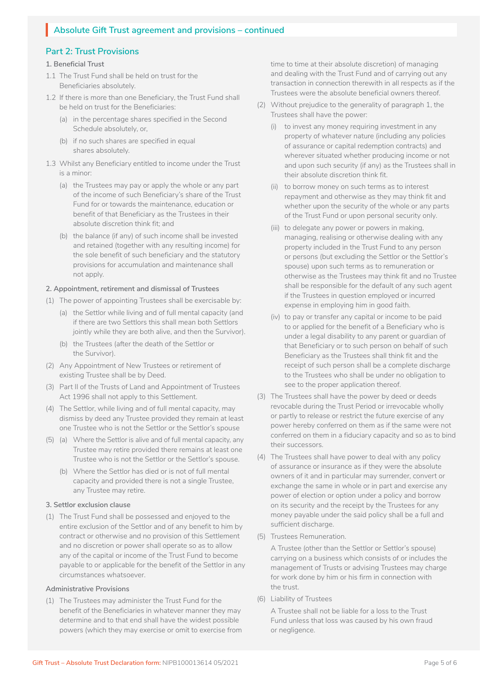# Absolute Gift Trust agreement and provisions – continued

# **Part 2: Trust Provisions**

## **1. Beneficial Trust**

- 1.1 The Trust Fund shall be held on trust for the Beneficiaries absolutely.
- 1.2 If there is more than one Beneficiary, the Trust Fund shall be held on trust for the Beneficiaries:
	- (a) in the percentage shares specified in the Second Schedule absolutely, or,
	- (b) if no such shares are specified in equal shares absolutely.
- 1.3 Whilst any Beneficiary entitled to income under the Trust is a minor:
	- (a) the Trustees may pay or apply the whole or any part of the income of such Beneficiary's share of the Trust Fund for or towards the maintenance, education or benefit of that Beneficiary as the Trustees in their absolute discretion think fit; and
	- (b) the balance (if any) of such income shall be invested and retained (together with any resulting income) for the sole benefit of such beneficiary and the statutory provisions for accumulation and maintenance shall not apply.

### **2. Appointment, retirement and dismissal of Trustees**

- (1) The power of appointing Trustees shall be exercisable by:
	- (a) the Settlor while living and of full mental capacity (and if there are two Settlors this shall mean both Settlors jointly while they are both alive, and then the Survivor).
	- (b) the Trustees (after the death of the Settlor or the Survivor).
- (2) Any Appointment of New Trustees or retirement of existing Trustee shall be by Deed.
- (3) Part II of the Trusts of Land and Appointment of Trustees Act 1996 shall not apply to this Settlement.
- (4) The Settlor, while living and of full mental capacity, may dismiss by deed any Trustee provided they remain at least one Trustee who is not the Settlor or the Settlor's spouse
- (5) (a) Where the Settlor is alive and of full mental capacity, any Trustee may retire provided there remains at least one Trustee who is not the Settlor or the Settlor's spouse.
	- (b) Where the Settlor has died or is not of full mental capacity and provided there is not a single Trustee, any Trustee may retire.

### **3. Settlor exclusion clause**

(1) The Trust Fund shall be possessed and enjoyed to the entire exclusion of the Settlor and of any benefit to him by contract or otherwise and no provision of this Settlement and no discretion or power shall operate so as to allow any of the capital or income of the Trust Fund to become payable to or applicable for the benefit of the Settlor in any circumstances whatsoever.

### **Administrative Provisions**

(1) The Trustees may administer the Trust Fund for the benefit of the Beneficiaries in whatever manner they may determine and to that end shall have the widest possible powers (which they may exercise or omit to exercise from time to time at their absolute discretion) of managing and dealing with the Trust Fund and of carrying out any transaction in connection therewith in all respects as if the Trustees were the absolute beneficial owners thereof.

- (2) Without prejudice to the generality of paragraph 1, the Trustees shall have the power:
	- (i) to invest any money requiring investment in any property of whatever nature (including any policies of assurance or capital redemption contracts) and wherever situated whether producing income or not and upon such security (if any) as the Trustees shall in their absolute discretion think fit.
	- (ii) to borrow money on such terms as to interest repayment and otherwise as they may think fit and whether upon the security of the whole or any parts of the Trust Fund or upon personal security only.
	- (iii) to delegate any power or powers in making, managing, realising or otherwise dealing with any property included in the Trust Fund to any person or persons (but excluding the Settlor or the Settlor's spouse) upon such terms as to remuneration or otherwise as the Trustees may think fit and no Trustee shall be responsible for the default of any such agent if the Trustees in question employed or incurred expense in employing him in good faith.
	- (iv) to pay or transfer any capital or income to be paid to or applied for the benefit of a Beneficiary who is under a legal disability to any parent or guardian of that Beneficiary or to such person on behalf of such Beneficiary as the Trustees shall think fit and the receipt of such person shall be a complete discharge to the Trustees who shall be under no obligation to see to the proper application thereof.
- (3) The Trustees shall have the power by deed or deeds revocable during the Trust Period or irrevocable wholly or partly to release or restrict the future exercise of any power hereby conferred on them as if the same were not conferred on them in a fiduciary capacity and so as to bind their successors.
- (4) The Trustees shall have power to deal with any policy of assurance or insurance as if they were the absolute owners of it and in particular may surrender, convert or exchange the same in whole or in part and exercise any power of election or option under a policy and borrow on its security and the receipt by the Trustees for any money payable under the said policy shall be a full and sufficient discharge.
- (5) Trustees Remuneration.

A Trustee (other than the Settlor or Settlor's spouse) carrying on a business which consists of or includes the management of Trusts or advising Trustees may charge for work done by him or his firm in connection with the trust.

(6) Liability of Trustees

A Trustee shall not be liable for a loss to the Trust Fund unless that loss was caused by his own fraud or negligence.